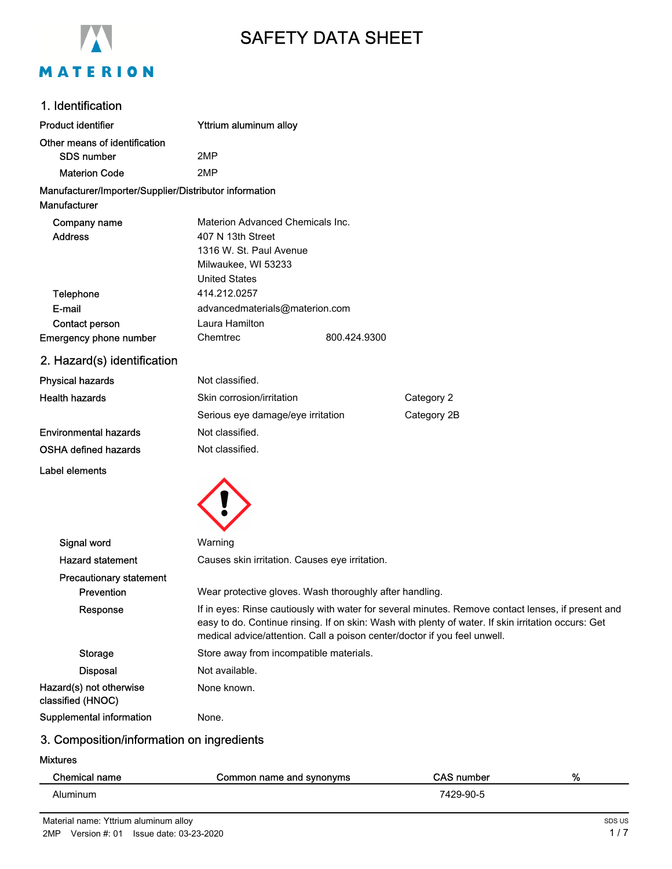

# SAFETY DATA SHEET

# 1. Identification

| <b>Product identifier</b>                              | Yttrium aluminum alloy            |              |             |
|--------------------------------------------------------|-----------------------------------|--------------|-------------|
| Other means of identification                          |                                   |              |             |
| <b>SDS</b> number                                      | 2MP                               |              |             |
| <b>Materion Code</b>                                   | 2MP                               |              |             |
| Manufacturer/Importer/Supplier/Distributor information |                                   |              |             |
| Manufacturer                                           |                                   |              |             |
| Company name                                           | Materion Advanced Chemicals Inc.  |              |             |
| <b>Address</b>                                         | 407 N 13th Street                 |              |             |
|                                                        | 1316 W. St. Paul Avenue           |              |             |
|                                                        | Milwaukee, WI 53233               |              |             |
|                                                        | <b>United States</b>              |              |             |
| Telephone                                              | 414.212.0257                      |              |             |
| E-mail                                                 | advancedmaterials@materion.com    |              |             |
| Contact person                                         | Laura Hamilton                    |              |             |
| Emergency phone number                                 | Chemtrec                          | 800.424.9300 |             |
| 2. Hazard(s) identification                            |                                   |              |             |
| <b>Physical hazards</b>                                | Not classified.                   |              |             |
| <b>Health hazards</b>                                  | Skin corrosion/irritation         |              | Category 2  |
|                                                        | Serious eye damage/eye irritation |              | Category 2B |
| <b>Environmental hazards</b>                           | Not classified.                   |              |             |

OSHA defined hazards Not classified.

Label elements



| Signal word                                  | Warning                                                                                                                                                                                                                                                                                |
|----------------------------------------------|----------------------------------------------------------------------------------------------------------------------------------------------------------------------------------------------------------------------------------------------------------------------------------------|
| <b>Hazard statement</b>                      | Causes skin irritation. Causes eye irritation.                                                                                                                                                                                                                                         |
| <b>Precautionary statement</b>               |                                                                                                                                                                                                                                                                                        |
| Prevention                                   | Wear protective gloves. Wash thoroughly after handling.                                                                                                                                                                                                                                |
| Response                                     | If in eyes: Rinse cautiously with water for several minutes. Remove contact lenses, if present and<br>easy to do. Continue rinsing. If on skin: Wash with plenty of water. If skin irritation occurs: Get<br>medical advice/attention. Call a poison center/doctor if you feel unwell. |
| Storage                                      | Store away from incompatible materials.                                                                                                                                                                                                                                                |
| <b>Disposal</b>                              | Not available.                                                                                                                                                                                                                                                                         |
| Hazard(s) not otherwise<br>classified (HNOC) | None known.                                                                                                                                                                                                                                                                            |
| Supplemental information                     | None.                                                                                                                                                                                                                                                                                  |

# 3. Composition/information on ingredients

#### Mixtures

| <b>Chemical name</b> | Common name and synonyms | <b>CAS number</b> | % |
|----------------------|--------------------------|-------------------|---|
| Aluminum             |                          | 7429-90-5         |   |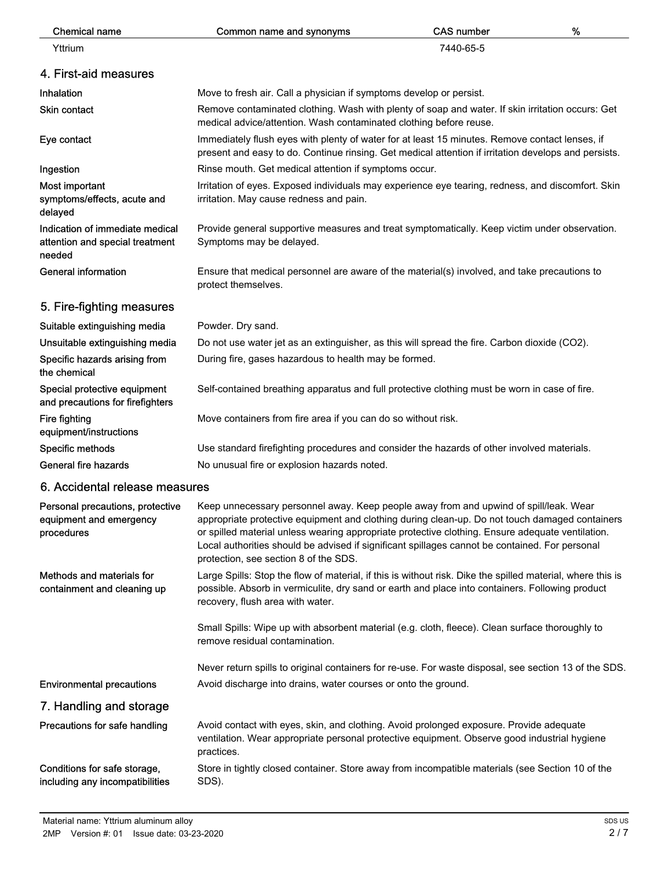| <b>Chemical name</b>                                                         | Common name and synonyms                                                                                                                                                                                                                                                                                                                                                                                                               | <b>CAS number</b>                                                                             | % |
|------------------------------------------------------------------------------|----------------------------------------------------------------------------------------------------------------------------------------------------------------------------------------------------------------------------------------------------------------------------------------------------------------------------------------------------------------------------------------------------------------------------------------|-----------------------------------------------------------------------------------------------|---|
| Yttrium                                                                      |                                                                                                                                                                                                                                                                                                                                                                                                                                        | 7440-65-5                                                                                     |   |
| 4. First-aid measures                                                        |                                                                                                                                                                                                                                                                                                                                                                                                                                        |                                                                                               |   |
| Inhalation                                                                   | Move to fresh air. Call a physician if symptoms develop or persist.                                                                                                                                                                                                                                                                                                                                                                    |                                                                                               |   |
| Skin contact                                                                 | Remove contaminated clothing. Wash with plenty of soap and water. If skin irritation occurs: Get<br>medical advice/attention. Wash contaminated clothing before reuse.                                                                                                                                                                                                                                                                 |                                                                                               |   |
| Eye contact                                                                  | Immediately flush eyes with plenty of water for at least 15 minutes. Remove contact lenses, if<br>present and easy to do. Continue rinsing. Get medical attention if irritation develops and persists.                                                                                                                                                                                                                                 |                                                                                               |   |
| Ingestion                                                                    | Rinse mouth. Get medical attention if symptoms occur.                                                                                                                                                                                                                                                                                                                                                                                  |                                                                                               |   |
| Most important<br>symptoms/effects, acute and<br>delayed                     | Irritation of eyes. Exposed individuals may experience eye tearing, redness, and discomfort. Skin<br>irritation. May cause redness and pain.                                                                                                                                                                                                                                                                                           |                                                                                               |   |
| Indication of immediate medical<br>attention and special treatment<br>needed | Symptoms may be delayed.                                                                                                                                                                                                                                                                                                                                                                                                               | Provide general supportive measures and treat symptomatically. Keep victim under observation. |   |
| <b>General information</b>                                                   | Ensure that medical personnel are aware of the material(s) involved, and take precautions to<br>protect themselves.                                                                                                                                                                                                                                                                                                                    |                                                                                               |   |
| 5. Fire-fighting measures                                                    |                                                                                                                                                                                                                                                                                                                                                                                                                                        |                                                                                               |   |
| Suitable extinguishing media                                                 | Powder. Dry sand.                                                                                                                                                                                                                                                                                                                                                                                                                      |                                                                                               |   |
| Unsuitable extinguishing media                                               | Do not use water jet as an extinguisher, as this will spread the fire. Carbon dioxide (CO2).                                                                                                                                                                                                                                                                                                                                           |                                                                                               |   |
| Specific hazards arising from<br>the chemical                                | During fire, gases hazardous to health may be formed.                                                                                                                                                                                                                                                                                                                                                                                  |                                                                                               |   |
| Special protective equipment<br>and precautions for firefighters             | Self-contained breathing apparatus and full protective clothing must be worn in case of fire.                                                                                                                                                                                                                                                                                                                                          |                                                                                               |   |
| Fire fighting<br>equipment/instructions                                      | Move containers from fire area if you can do so without risk.                                                                                                                                                                                                                                                                                                                                                                          |                                                                                               |   |
| Specific methods                                                             | Use standard firefighting procedures and consider the hazards of other involved materials.                                                                                                                                                                                                                                                                                                                                             |                                                                                               |   |
| General fire hazards                                                         | No unusual fire or explosion hazards noted.                                                                                                                                                                                                                                                                                                                                                                                            |                                                                                               |   |
| 6. Accidental release measures                                               |                                                                                                                                                                                                                                                                                                                                                                                                                                        |                                                                                               |   |
| Personal precautions, protective<br>equipment and emergency<br>procedures    | Keep unnecessary personnel away. Keep people away from and upwind of spill/leak. Wear<br>appropriate protective equipment and clothing during clean-up. Do not touch damaged containers<br>or spilled material unless wearing appropriate protective clothing. Ensure adequate ventilation.<br>Local authorities should be advised if significant spillages cannot be contained. For personal<br>protection, see section 8 of the SDS. |                                                                                               |   |
| Methods and materials for<br>containment and cleaning up                     | Large Spills: Stop the flow of material, if this is without risk. Dike the spilled material, where this is<br>possible. Absorb in vermiculite, dry sand or earth and place into containers. Following product<br>recovery, flush area with water.                                                                                                                                                                                      |                                                                                               |   |
|                                                                              | Small Spills: Wipe up with absorbent material (e.g. cloth, fleece). Clean surface thoroughly to<br>remove residual contamination.                                                                                                                                                                                                                                                                                                      |                                                                                               |   |
|                                                                              | Never return spills to original containers for re-use. For waste disposal, see section 13 of the SDS.                                                                                                                                                                                                                                                                                                                                  |                                                                                               |   |
| <b>Environmental precautions</b>                                             | Avoid discharge into drains, water courses or onto the ground.                                                                                                                                                                                                                                                                                                                                                                         |                                                                                               |   |
| 7. Handling and storage                                                      |                                                                                                                                                                                                                                                                                                                                                                                                                                        |                                                                                               |   |
| Precautions for safe handling                                                | Avoid contact with eyes, skin, and clothing. Avoid prolonged exposure. Provide adequate<br>ventilation. Wear appropriate personal protective equipment. Observe good industrial hygiene<br>practices.                                                                                                                                                                                                                                  |                                                                                               |   |
| Conditions for safe storage,<br>including any incompatibilities              | Store in tightly closed container. Store away from incompatible materials (see Section 10 of the<br>SDS).                                                                                                                                                                                                                                                                                                                              |                                                                                               |   |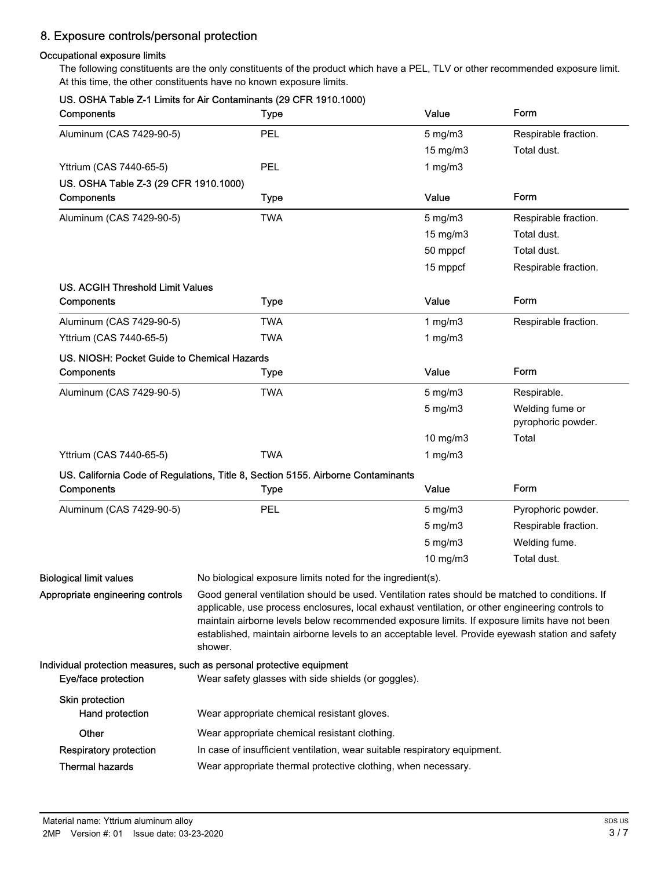# 8. Exposure controls/personal protection

## Occupational exposure limits

The following constituents are the only constituents of the product which have a PEL, TLV or other recommended exposure limit. At this time, the other constituents have no known exposure limits.

|                                             | US. OSHA Table Z-1 Limits for Air Contaminants (29 CFR 1910.1000)                                                                                                                                                                                                                                                                                                                                                |                   |                                       |
|---------------------------------------------|------------------------------------------------------------------------------------------------------------------------------------------------------------------------------------------------------------------------------------------------------------------------------------------------------------------------------------------------------------------------------------------------------------------|-------------------|---------------------------------------|
| Components                                  | <b>Type</b>                                                                                                                                                                                                                                                                                                                                                                                                      | Value             | Form                                  |
| Aluminum (CAS 7429-90-5)                    | PEL                                                                                                                                                                                                                                                                                                                                                                                                              | 5 mg/m3           | Respirable fraction.                  |
|                                             |                                                                                                                                                                                                                                                                                                                                                                                                                  | 15 mg/m3          | Total dust.                           |
| Yttrium (CAS 7440-65-5)                     | PEL                                                                                                                                                                                                                                                                                                                                                                                                              | 1 $mg/m3$         |                                       |
| US. OSHA Table Z-3 (29 CFR 1910.1000)       |                                                                                                                                                                                                                                                                                                                                                                                                                  |                   |                                       |
| Components                                  | <b>Type</b>                                                                                                                                                                                                                                                                                                                                                                                                      | Value             | Form                                  |
| Aluminum (CAS 7429-90-5)                    | <b>TWA</b>                                                                                                                                                                                                                                                                                                                                                                                                       | $5$ mg/m $3$      | Respirable fraction.                  |
|                                             |                                                                                                                                                                                                                                                                                                                                                                                                                  | $15 \text{ mg/m}$ | Total dust.                           |
|                                             |                                                                                                                                                                                                                                                                                                                                                                                                                  | 50 mppcf          | Total dust.                           |
|                                             |                                                                                                                                                                                                                                                                                                                                                                                                                  | 15 mppcf          | Respirable fraction.                  |
| <b>US. ACGIH Threshold Limit Values</b>     |                                                                                                                                                                                                                                                                                                                                                                                                                  |                   |                                       |
| Components                                  | <b>Type</b>                                                                                                                                                                                                                                                                                                                                                                                                      | Value             | Form                                  |
| Aluminum (CAS 7429-90-5)                    | <b>TWA</b>                                                                                                                                                                                                                                                                                                                                                                                                       | 1 mg/m $3$        | Respirable fraction.                  |
| Yttrium (CAS 7440-65-5)                     | <b>TWA</b>                                                                                                                                                                                                                                                                                                                                                                                                       | 1 $mg/m3$         |                                       |
| US. NIOSH: Pocket Guide to Chemical Hazards |                                                                                                                                                                                                                                                                                                                                                                                                                  |                   |                                       |
| Components                                  | <b>Type</b>                                                                                                                                                                                                                                                                                                                                                                                                      | Value             | Form                                  |
| Aluminum (CAS 7429-90-5)                    | <b>TWA</b>                                                                                                                                                                                                                                                                                                                                                                                                       | $5 \text{ mg/m}$  | Respirable.                           |
|                                             |                                                                                                                                                                                                                                                                                                                                                                                                                  | $5 \text{ mg/m}$  | Welding fume or<br>pyrophoric powder. |
|                                             |                                                                                                                                                                                                                                                                                                                                                                                                                  | $10$ mg/m $3$     | Total                                 |
| Yttrium (CAS 7440-65-5)                     | <b>TWA</b>                                                                                                                                                                                                                                                                                                                                                                                                       | 1 $mg/m3$         |                                       |
|                                             | US. California Code of Regulations, Title 8, Section 5155. Airborne Contaminants                                                                                                                                                                                                                                                                                                                                 |                   |                                       |
| Components                                  | <b>Type</b>                                                                                                                                                                                                                                                                                                                                                                                                      | Value             | Form                                  |
|                                             |                                                                                                                                                                                                                                                                                                                                                                                                                  |                   |                                       |
| Aluminum (CAS 7429-90-5)                    | PEL                                                                                                                                                                                                                                                                                                                                                                                                              | $5 \text{ mg/m}$  | Pyrophoric powder.                    |
|                                             |                                                                                                                                                                                                                                                                                                                                                                                                                  | 5 mg/m3           | Respirable fraction.                  |
|                                             |                                                                                                                                                                                                                                                                                                                                                                                                                  | 5 mg/m3           | Welding fume.                         |
|                                             |                                                                                                                                                                                                                                                                                                                                                                                                                  | 10 mg/m3          | Total dust.                           |
| <b>Biological limit values</b>              | No biological exposure limits noted for the ingredient(s).                                                                                                                                                                                                                                                                                                                                                       |                   |                                       |
| Appropriate engineering controls            | Good general ventilation should be used. Ventilation rates should be matched to conditions. If<br>applicable, use process enclosures, local exhaust ventilation, or other engineering controls to<br>maintain airborne levels below recommended exposure limits. If exposure limits have not been<br>established, maintain airborne levels to an acceptable level. Provide eyewash station and safety<br>shower. |                   |                                       |
| Eye/face protection                         | Individual protection measures, such as personal protective equipment<br>Wear safety glasses with side shields (or goggles).                                                                                                                                                                                                                                                                                     |                   |                                       |
| Skin protection<br>Hand protection          | Wear appropriate chemical resistant gloves.                                                                                                                                                                                                                                                                                                                                                                      |                   |                                       |
| Other                                       | Wear appropriate chemical resistant clothing.                                                                                                                                                                                                                                                                                                                                                                    |                   |                                       |
| <b>Respiratory protection</b>               | In case of insufficient ventilation, wear suitable respiratory equipment.                                                                                                                                                                                                                                                                                                                                        |                   |                                       |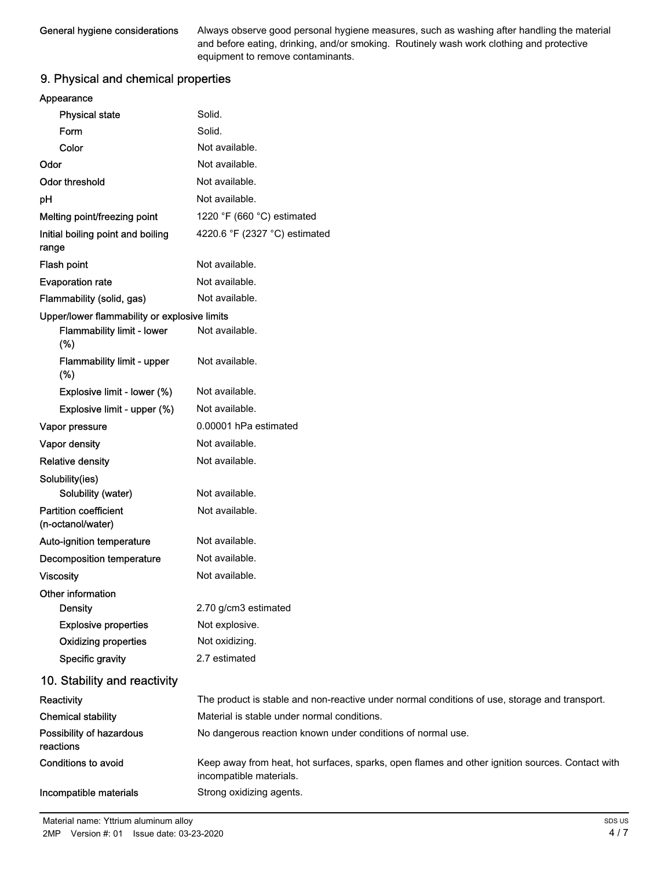Always observe good personal hygiene measures, such as washing after handling the material and before eating, drinking, and/or smoking. Routinely wash work clothing and protective equipment to remove contaminants.

# 9. Physical and chemical properties

| Appearance            |  |
|-----------------------|--|
| <b>Physical state</b> |  |

| <b>Physical state</b>                        | Solid.                                                                                                                     |
|----------------------------------------------|----------------------------------------------------------------------------------------------------------------------------|
| Form                                         | Solid.                                                                                                                     |
| Color                                        | Not available.                                                                                                             |
| Odor                                         | Not available.                                                                                                             |
| Odor threshold                               | Not available.                                                                                                             |
| pH                                           | Not available.                                                                                                             |
| Melting point/freezing point                 | 1220 °F (660 °C) estimated                                                                                                 |
| Initial boiling point and boiling<br>range   | 4220.6 °F (2327 °C) estimated                                                                                              |
| Flash point                                  | Not available.                                                                                                             |
| <b>Evaporation rate</b>                      | Not available.                                                                                                             |
| Flammability (solid, gas)                    | Not available.                                                                                                             |
| Upper/lower flammability or explosive limits |                                                                                                                            |
| <b>Flammability limit - lower</b><br>$(\%)$  | Not available.                                                                                                             |
| <b>Flammability limit - upper</b><br>(%)     | Not available.                                                                                                             |
| Explosive limit - lower (%)                  | Not available.                                                                                                             |
| Explosive limit - upper (%)                  | Not available.                                                                                                             |
| Vapor pressure                               | 0.00001 hPa estimated                                                                                                      |
| Vapor density                                | Not available.                                                                                                             |
| <b>Relative density</b>                      | Not available.                                                                                                             |
| Solubility(ies)<br>Solubility (water)        | Not available.                                                                                                             |
| <b>Partition coefficient</b>                 | Not available.                                                                                                             |
| (n-octanol/water)                            |                                                                                                                            |
| Auto-ignition temperature                    | Not available.                                                                                                             |
| <b>Decomposition temperature</b>             | Not available.                                                                                                             |
| <b>Viscosity</b>                             | Not available.                                                                                                             |
| Other information                            |                                                                                                                            |
| <b>Density</b>                               | 2.70 g/cm3 estimated                                                                                                       |
| <b>Explosive properties</b>                  | Not explosive.                                                                                                             |
| <b>Oxidizing properties</b>                  | Not oxidizing.                                                                                                             |
| Specific gravity                             | 2.7 estimated                                                                                                              |
| 10. Stability and reactivity                 |                                                                                                                            |
| Reactivity                                   | The product is stable and non-reactive under normal conditions of use, storage and transport.                              |
| <b>Chemical stability</b>                    | Material is stable under normal conditions.                                                                                |
| Possibility of hazardous<br>reactions        | No dangerous reaction known under conditions of normal use.                                                                |
| <b>Conditions to avoid</b>                   | Keep away from heat, hot surfaces, sparks, open flames and other ignition sources. Contact with<br>incompatible materials. |
| Incompatible materials                       | Strong oxidizing agents.                                                                                                   |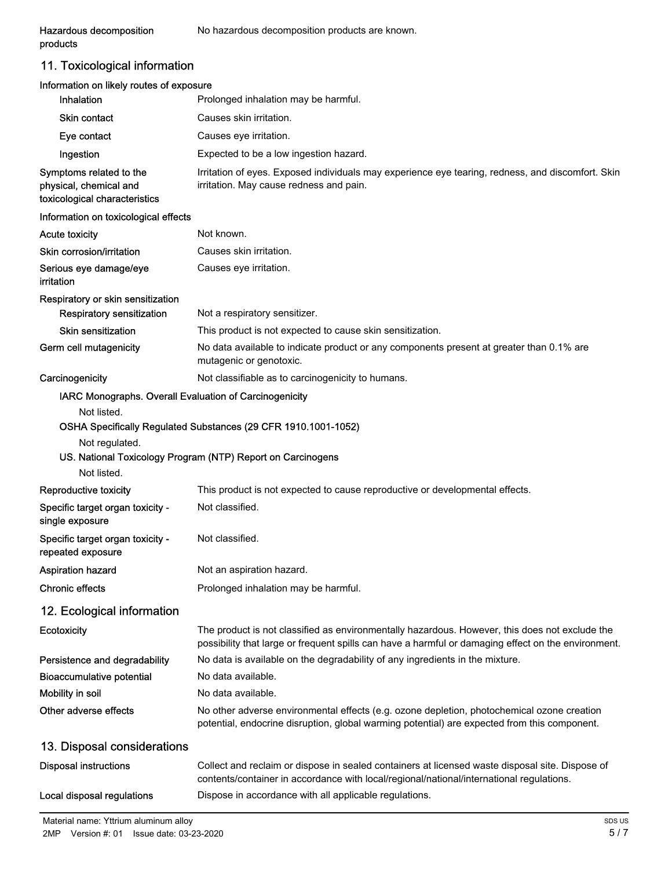products

Hazardous decomposition No hazardous decomposition products are known.

11. Toxicological information

| Information on likely routes of exposure<br>Inhalation                             | Prolonged inhalation may be harmful.                                                                                                                                                                  |
|------------------------------------------------------------------------------------|-------------------------------------------------------------------------------------------------------------------------------------------------------------------------------------------------------|
| <b>Skin contact</b>                                                                | Causes skin irritation.                                                                                                                                                                               |
| Eye contact                                                                        | Causes eye irritation.                                                                                                                                                                                |
| Ingestion                                                                          | Expected to be a low ingestion hazard.                                                                                                                                                                |
| Symptoms related to the<br>physical, chemical and<br>toxicological characteristics | Irritation of eyes. Exposed individuals may experience eye tearing, redness, and discomfort. Skin<br>irritation. May cause redness and pain.                                                          |
| Information on toxicological effects                                               |                                                                                                                                                                                                       |
| <b>Acute toxicity</b>                                                              | Not known.                                                                                                                                                                                            |
| Skin corrosion/irritation                                                          | Causes skin irritation.                                                                                                                                                                               |
| Serious eye damage/eye<br>irritation                                               | Causes eye irritation.                                                                                                                                                                                |
| Respiratory or skin sensitization                                                  |                                                                                                                                                                                                       |
| <b>Respiratory sensitization</b>                                                   | Not a respiratory sensitizer.                                                                                                                                                                         |
| Skin sensitization                                                                 | This product is not expected to cause skin sensitization.                                                                                                                                             |
| Germ cell mutagenicity                                                             | No data available to indicate product or any components present at greater than 0.1% are<br>mutagenic or genotoxic.                                                                                   |
| Carcinogenicity                                                                    | Not classifiable as to carcinogenicity to humans.                                                                                                                                                     |
| IARC Monographs. Overall Evaluation of Carcinogenicity                             |                                                                                                                                                                                                       |
| Not listed.                                                                        |                                                                                                                                                                                                       |
|                                                                                    | OSHA Specifically Regulated Substances (29 CFR 1910.1001-1052)                                                                                                                                        |
| Not regulated.                                                                     | US. National Toxicology Program (NTP) Report on Carcinogens                                                                                                                                           |
| Not listed.                                                                        |                                                                                                                                                                                                       |
| <b>Reproductive toxicity</b>                                                       | This product is not expected to cause reproductive or developmental effects.                                                                                                                          |
| Specific target organ toxicity -<br>single exposure                                | Not classified.                                                                                                                                                                                       |
| Specific target organ toxicity -<br>repeated exposure                              | Not classified.                                                                                                                                                                                       |
| Aspiration hazard                                                                  | Not an aspiration hazard.                                                                                                                                                                             |
| <b>Chronic effects</b>                                                             | Prolonged inhalation may be harmful.                                                                                                                                                                  |
| 12. Ecological information                                                         |                                                                                                                                                                                                       |
| <b>Ecotoxicity</b>                                                                 | The product is not classified as environmentally hazardous. However, this does not exclude the<br>possibility that large or frequent spills can have a harmful or damaging effect on the environment. |
| Persistence and degradability                                                      | No data is available on the degradability of any ingredients in the mixture.                                                                                                                          |
| <b>Bioaccumulative potential</b>                                                   | No data available.                                                                                                                                                                                    |
| Mobility in soil                                                                   | No data available.                                                                                                                                                                                    |
| Other adverse effects                                                              | No other adverse environmental effects (e.g. ozone depletion, photochemical ozone creation<br>potential, endocrine disruption, global warming potential) are expected from this component.            |
| 13. Disposal considerations                                                        |                                                                                                                                                                                                       |
| <b>Disposal instructions</b>                                                       | Collect and reclaim or dispose in sealed containers at licensed waste disposal site. Dispose of<br>contents/container in accordance with local/regional/national/international regulations.           |
| Local disposal regulations                                                         | Dispose in accordance with all applicable regulations.                                                                                                                                                |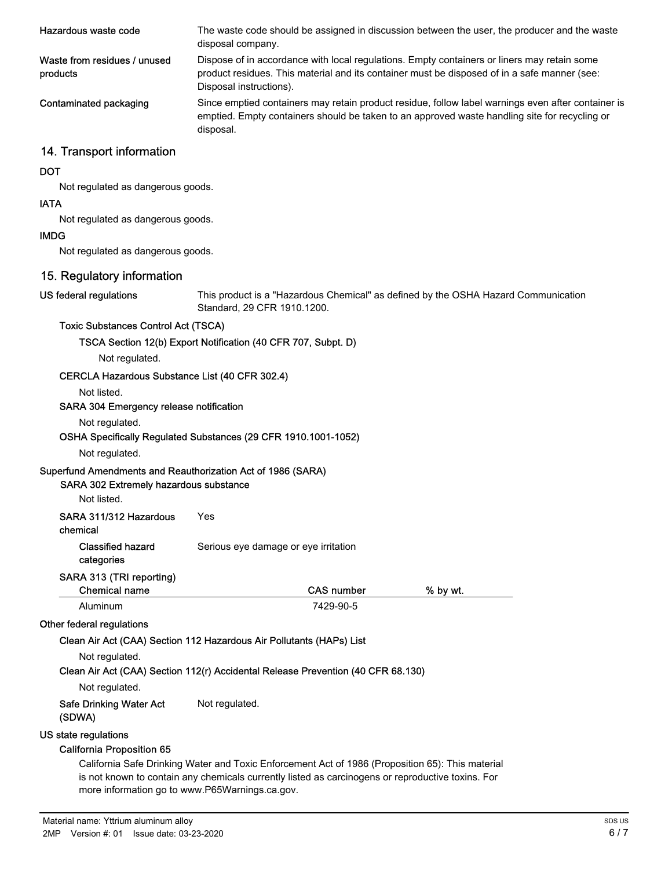| Hazardous waste code                     | The waste code should be assigned in discussion between the user, the producer and the waste<br>disposal company.                                                                                                      |
|------------------------------------------|------------------------------------------------------------------------------------------------------------------------------------------------------------------------------------------------------------------------|
| Waste from residues / unused<br>products | Dispose of in accordance with local regulations. Empty containers or liners may retain some<br>product residues. This material and its container must be disposed of in a safe manner (see:<br>Disposal instructions). |
| Contaminated packaging                   | Since emptied containers may retain product residue, follow label warnings even after container is<br>emptied. Empty containers should be taken to an approved waste handling site for recycling or<br>disposal.       |
| 14. Transport information                |                                                                                                                                                                                                                        |
| <b>DOT</b>                               |                                                                                                                                                                                                                        |
| Not regulated as dangerous goods.        |                                                                                                                                                                                                                        |
| IATA.                                    |                                                                                                                                                                                                                        |

# IATA

Not regulated as dangerous goods.

#### IMDG

Not regulated as dangerous goods.

## 15. Regulatory information

US federal regulations

This product is a "Hazardous Chemical" as defined by the OSHA Hazard Communication Standard, 29 CFR 1910.1200.

#### Toxic Substances Control Act (TSCA)

Not regulated.

TSCA Section 12(b) Export Notification (40 CFR 707, Subpt. D)

CERCLA Hazardous Substance List (40 CFR 302.4)

## Not listed.

#### SARA 304 Emergency release notification

Not regulated.

#### OSHA Specifically Regulated Substances (29 CFR 1910.1001-1052)

Not regulated.

## Superfund Amendments and Reauthorization Act of 1986 (SARA)

## SARA 302 Extremely hazardous substance

Not listed.

| SARA 311/312 Hazardous | Yes |
|------------------------|-----|
|------------------------|-----|

chemical

Classified hazard Serious eye damage or eye irritation

# categories

#### SARA 313 (TRI reporting)

| <b>Chemical name</b>                                                             | <b>CAS number</b> | % by wt. |  |
|----------------------------------------------------------------------------------|-------------------|----------|--|
| Aluminum                                                                         | 7429-90-5         |          |  |
| Other federal regulations                                                        |                   |          |  |
| Clean Air Act (CAA) Section 112 Hazardous Air Pollutants (HAPs) List             |                   |          |  |
| Not regulated.                                                                   |                   |          |  |
| Clean Air Act (CAA) Section 112(r) Accidental Release Prevention (40 CFR 68.130) |                   |          |  |

Not regulated.

#### Safe Drinking Water Act Not regulated. (SDWA)

#### US state regulations

#### California Proposition 65

California Safe Drinking Water and Toxic Enforcement Act of 1986 (Proposition 65): This material is not known to contain any chemicals currently listed as carcinogens or reproductive toxins. For more information go to www.P65Warnings.ca.gov.